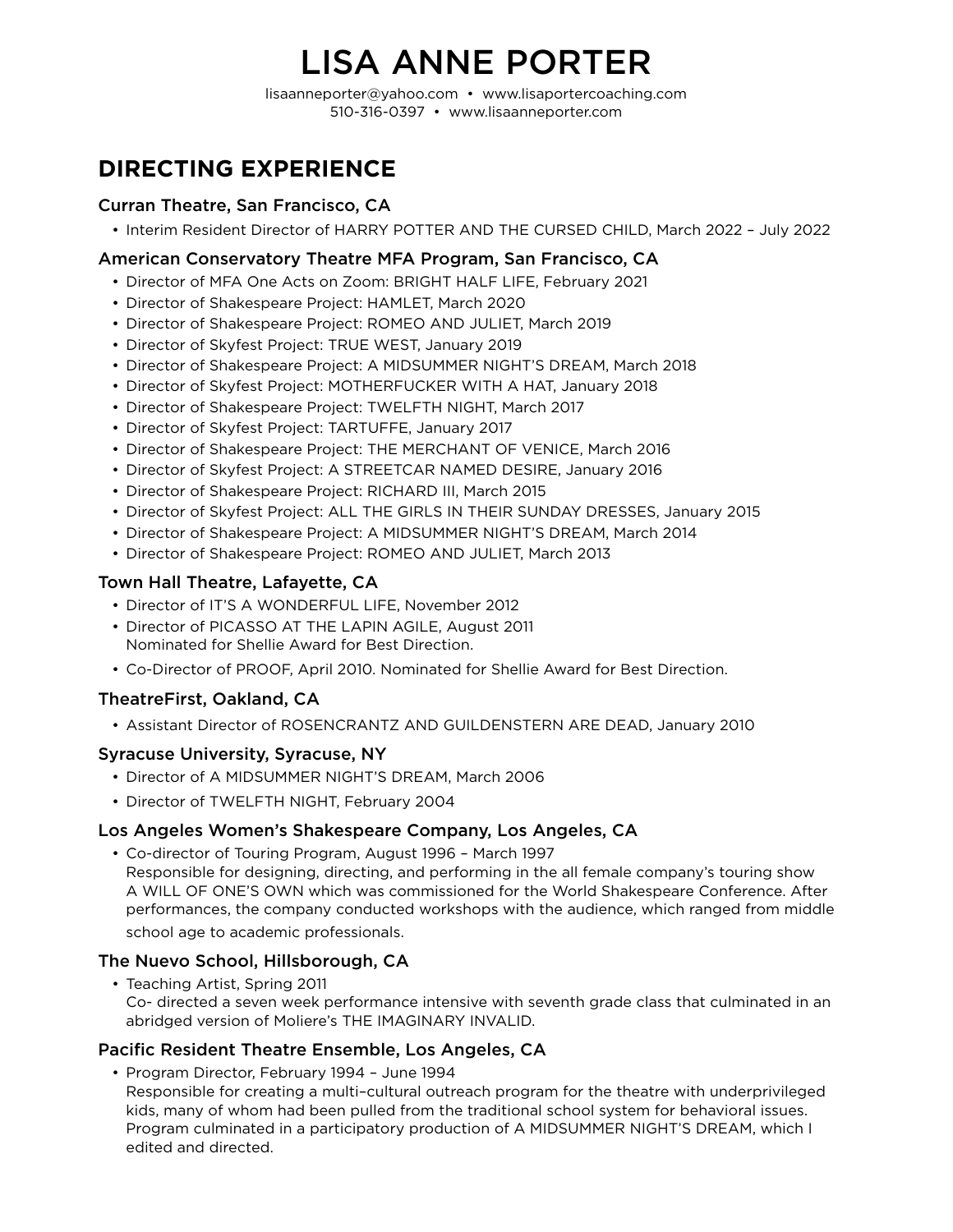# LISA ANNE PORTER

lisaanneporter@yahoo.com • www.lisaportercoaching.com 510-316-0397 • www.lisaanneporter.com

# **DIRECTING EXPERIENCE**

#### Curran Theatre, San Francisco, CA

• Interim Resident Director of HARRY POTTER AND THE CURSED CHILD, March 2022 – July 2022

#### American Conservatory Theatre MFA Program, San Francisco, CA

- Director of MFA One Acts on Zoom: BRIGHT HALF LIFE, February 2021
- Director of Shakespeare Project: HAMLET, March 2020
- Director of Shakespeare Project: ROMEO AND JULIET, March 2019
- Director of Skyfest Project: TRUE WEST, January 2019
- Director of Shakespeare Project: A MIDSUMMER NIGHT'S DREAM, March 2018
- Director of Skyfest Project: MOTHERFUCKER WITH A HAT, January 2018
- Director of Shakespeare Project: TWELFTH NIGHT, March 2017
- Director of Skyfest Project: TARTUFFE, January 2017
- Director of Shakespeare Project: THE MERCHANT OF VENICE, March 2016
- Director of Skyfest Project: A STREETCAR NAMED DESIRE, January 2016
- Director of Shakespeare Project: RICHARD III, March 2015
- Director of Skyfest Project: ALL THE GIRLS IN THEIR SUNDAY DRESSES, January 2015
- Director of Shakespeare Project: A MIDSUMMER NIGHT'S DREAM, March 2014
- Director of Shakespeare Project: ROMEO AND JULIET, March 2013

#### Town Hall Theatre, Lafayette, CA

- Director of IT'S A WONDERFUL LIFE, November 2012
- Director of PICASSO AT THE LAPIN AGILE, August 2011 Nominated for Shellie Award for Best Direction.
- Co-Director of PROOF, April 2010. Nominated for Shellie Award for Best Direction.

#### TheatreFirst, Oakland, CA

• Assistant Director of ROSENCRANTZ AND GUILDENSTERN ARE DEAD, January 2010

#### Syracuse University, Syracuse, NY

- Director of A MIDSUMMER NIGHT'S DREAM, March 2006
- Director of TWELFTH NIGHT, February 2004

#### Los Angeles Women's Shakespeare Company, Los Angeles, CA

• Co-director of Touring Program, August 1996 – March 1997 Responsible for designing, directing, and performing in the all female company's touring show A WILL OF ONE'S OWN which was commissioned for the World Shakespeare Conference. After performances, the company conducted workshops with the audience, which ranged from middle school age to academic professionals.

#### The Nuevo School, Hillsborough, CA

• Teaching Artist, Spring 2011 Co- directed a seven week performance intensive with seventh grade class that culminated in an abridged version of Moliere's THE IMAGINARY INVALID.

#### Pacific Resident Theatre Ensemble, Los Angeles, CA

• Program Director, February 1994 – June 1994 Responsible for creating a multi–cultural outreach program for the theatre with underprivileged kids, many of whom had been pulled from the traditional school system for behavioral issues. Program culminated in a participatory production of A MIDSUMMER NIGHT'S DREAM, which I edited and directed.